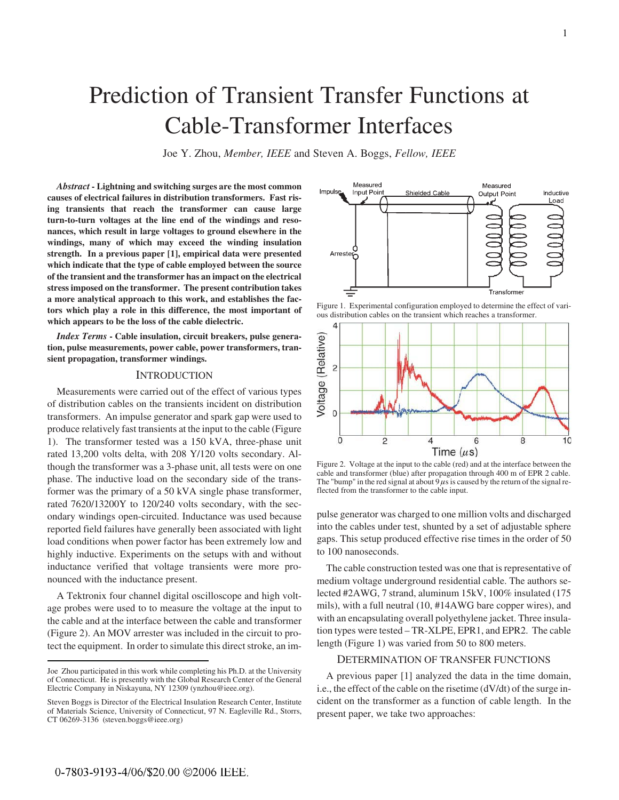# Prediction of Transient Transfer Functions at Cable-Transformer Interfaces

Joe Y. Zhou, *Member, IEEE* and Steven A. Boggs, *Fellow, IEEE*

*Abstract* **- Lightning and switching surges are the most common causes of electrical failures in distribution transformers. Fast rising transients that reach the transformer can cause large turn-to-turn voltages at the line end of the windings and resonances, which result in large voltages to ground elsewhere in the windings, many of which may exceed the winding insulation strength. In a previous paper [1], empirical data were presented which indicate that the type of cable employed between the source of the transient and the transformer has an impact on the electrical stress imposed on the transformer. The present contribution takes a more analytical approach to this work, and establishes the factors which play a role in this difference, the most important of which appears to be the loss of the cable dielectric.**

*Index Terms* **- Cable insulation, circuit breakers, pulse generation, pulse measurements, power cable, power transformers, transient propagation, transformer windings.**

### **INTRODUCTION**

Measurements were carried out of the effect of various types of distribution cables on the transients incident on distribution transformers. An impulse generator and spark gap were used to produce relatively fast transients at the input to the cable (Figure 1). The transformer tested was a 150 kVA, three-phase unit rated 13,200 volts delta, with 208 Y/120 volts secondary. Although the transformer was a 3-phase unit, all tests were on one phase. The inductive load on the secondary side of the transformer was the primary of a 50 kVA single phase transformer, rated 7620/13200Y to 120/240 volts secondary, with the secondary windings open-circuited. Inductance was used because reported field failures have generally been associated with light load conditions when power factor has been extremely low and highly inductive. Experiments on the setups with and without inductance verified that voltage transients were more pronounced with the inductance present.

A Tektronix four channel digital oscilloscope and high voltage probes were used to to measure the voltage at the input to the cable and at the interface between the cable and transformer (Figure 2). An MOV arrester was included in the circuit to protect the equipment. In order to simulate this direct stroke, an im-



Figure 1. Experimental configuration employed to determine the effect of various distribution cables on the transient which reaches a transformer.



Figure 2. Voltage at the input to the cable (red) and at the interface between the cable and transformer (blue) after propagation through 400 m of EPR 2 cable. The "bump" in the red signal at about  $9\mu s$  is caused by the return of the signal reflected from the transformer to the cable input.

pulse generator was charged to one million volts and discharged into the cables under test, shunted by a set of adjustable sphere gaps. This setup produced effective rise times in the order of 50 to 100 nanoseconds.

The cable construction tested was one that is representative of medium voltage underground residential cable. The authors selected #2AWG, 7 strand, aluminum 15kV, 100% insulated (175 mils), with a full neutral (10, #14AWG bare copper wires), and with an encapsulating overall polyethylene jacket. Three insulation types were tested – TR-XLPE, EPR1, and EPR2. The cable length (Figure 1) was varied from 50 to 800 meters.

## DETERMINATION OF TRANSFER FUNCTIONS

A previous paper [1] analyzed the data in the time domain, i.e., the effect of the cable on the risetime (dV/dt) of the surge incident on the transformer as a function of cable length. In the present paper, we take two approaches:

Joe Zhou participated in this work while completing his Ph.D. at the University of Connecticut. He is presently with the Global Research Center of the General Electric Company in Niskayuna, NY 12309 (ynzhou@ieee.org).

Steven Boggs is Director of the Electrical Insulation Research Center, Institute of Materials Science, University of Connecticut, 97 N. Eagleville Rd., Storrs, CT 06269-3136 (steven.boggs@ieee.org)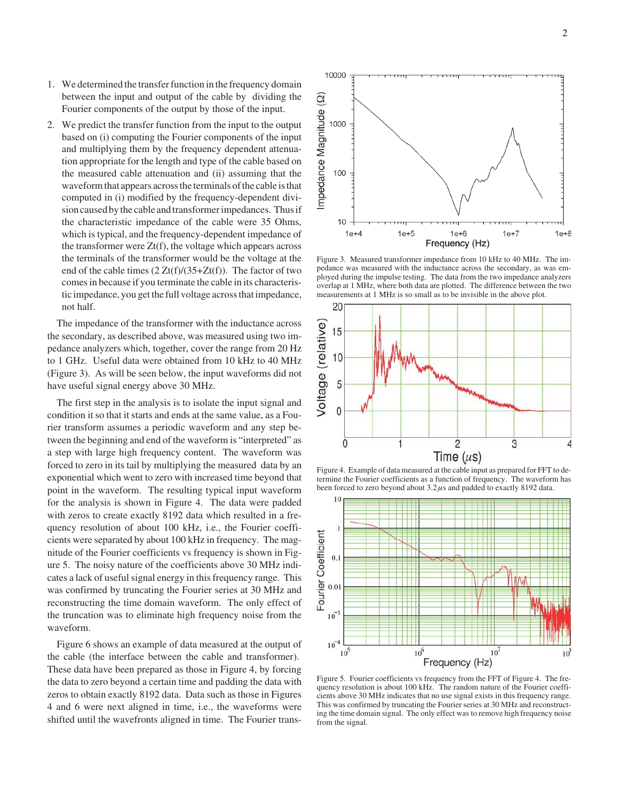- 1. We determined the transfer function in the frequency domain between the input and output of the cable by dividing the Fourier components of the output by those of the input.
- 2. We predict the transfer function from the input to the output based on (i) computing the Fourier components of the input and multiplying them by the frequency dependent attenuation appropriate for the length and type of the cable based on the measured cable attenuation and (ii) assuming that the waveform that appears across the terminals of the cable is that computed in (i) modified by the frequency-dependent division caused by the cable and transformer impedances. Thus if the characteristic impedance of the cable were 35 Ohms, which is typical, and the frequency-dependent impedance of the transformer were  $Zt(f)$ , the voltage which appears across the terminals of the transformer would be the voltage at the end of the cable times  $(2 Zt(f)/(35+Zt(f))$ . The factor of two comes in because if you terminate the cable in its characteristic impedance, you get the full voltage across that impedance, not half.

The impedance of the transformer with the inductance across the secondary, as described above, was measured using two impedance analyzers which, together, cover the range from 20 Hz to 1 GHz. Useful data were obtained from 10 kHz to 40 MHz (Figure 3). As will be seen below, the input waveforms did not have useful signal energy above 30 MHz.

The first step in the analysis is to isolate the input signal and condition it so that it starts and ends at the same value, as a Fourier transform assumes a periodic waveform and any step between the beginning and end of the waveform is "interpreted" as a step with large high frequency content. The waveform was forced to zero in its tail by multiplying the measured data by an exponential which went to zero with increased time beyond that point in the waveform. The resulting typical input waveform for the analysis is shown in Figure 4. The data were padded with zeros to create exactly 8192 data which resulted in a frequency resolution of about 100 kHz, i.e., the Fourier coefficients were separated by about 100 kHz in frequency. The magnitude of the Fourier coefficients vs frequency is shown in Figure 5. The noisy nature of the coefficients above 30 MHz indicates a lack of useful signal energy in this frequency range. This was confirmed by truncating the Fourier series at 30 MHz and reconstructing the time domain waveform. The only effect of the truncation was to eliminate high frequency noise from the waveform.

Figure 6 shows an example of data measured at the output of the cable (the interface between the cable and transformer). These data have been prepared as those in Figure 4, by forcing the data to zero beyond a certain time and padding the data with zeros to obtain exactly 8192 data. Data such as those in Figures 4 and 6 were next aligned in time, i.e., the waveforms were shifted until the wavefronts aligned in time. The Fourier trans-



Figure 3. Measured transformer impedance from 10 kHz to 40 MHz. The impedance was measured with the inductance across the secondary, as was employed during the impulse testing. The data from the two impedance analyzers overlap at 1 MHz, where both data are plotted. The difference between the two measurements at 1 MHz is so small as to be invisible in the above plot.



Figure 4. Example of data measured at the cable input as prepared for FFT to determine the Fourier coefficients as a function of frequency. The waveform has been forced to zero beyond about  $3.2 \mu s$  and padded to exactly 8192 data.



Figure 5. Fourier coefficients vs frequency from the FFT of Figure 4. The frequency resolution is about 100 kHz. The random nature of the Fourier coefficients above 30 MHz indicates that no use signal exists in this frequency range. This was confirmed by truncating the Fourier series at 30 MHz and reconstructing the time domain signal. The only effect was to remove high frequency noise from the signal.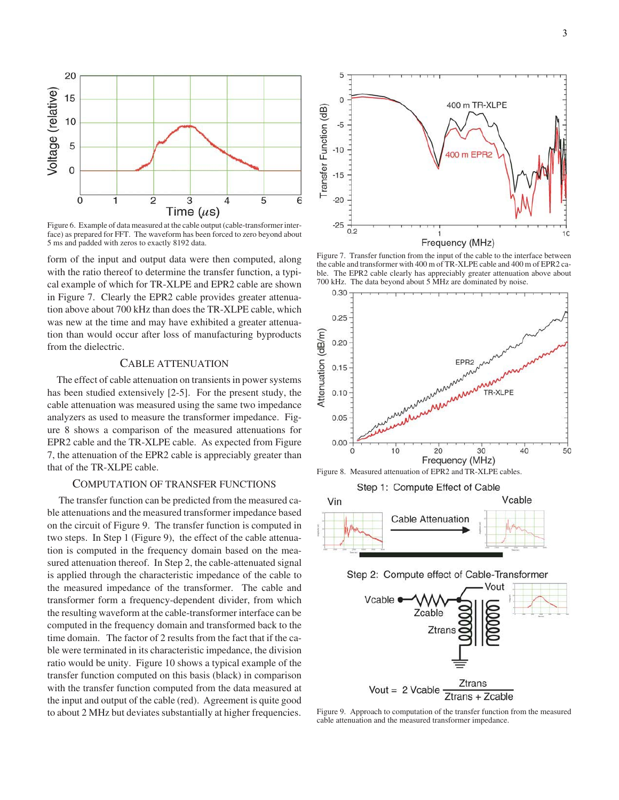

Figure 6. Example of data measured at the cable output (cable-transformer interface) as prepared for FFT. The waveform has been forced to zero beyond about 5 ms and padded with zeros to exactly 8192 data.

form of the input and output data were then computed, along with the ratio thereof to determine the transfer function, a typical example of which for TR-XLPE and EPR2 cable are shown in Figure 7. Clearly the EPR2 cable provides greater attenuation above about 700 kHz than does the TR-XLPE cable, which was new at the time and may have exhibited a greater attenuation than would occur after loss of manufacturing byproducts from the dielectric.

## CABLE ATTENUATION

The effect of cable attenuation on transients in power systems has been studied extensively [2-5]. For the present study, the cable attenuation was measured using the same two impedance analyzers as used to measure the transformer impedance. Figure 8 shows a comparison of the measured attenuations for EPR2 cable and the TR-XLPE cable. As expected from Figure 7, the attenuation of the EPR2 cable is appreciably greater than that of the TR-XLPE cable.

## COMPUTATION OF TRANSFER FUNCTIONS

The transfer function can be predicted from the measured cable attenuations and the measured transformer impedance based on the circuit of Figure 9. The transfer function is computed in two steps. In Step 1 (Figure 9), the effect of the cable attenuation is computed in the frequency domain based on the measured attenuation thereof. In Step 2, the cable-attenuated signal is applied through the characteristic impedance of the cable to the measured impedance of the transformer. The cable and transformer form a frequency-dependent divider, from which the resulting waveform at the cable-transformer interface can be computed in the frequency domain and transformed back to the time domain. The factor of 2 results from the fact that if the cable were terminated in its characteristic impedance, the division ratio would be unity. Figure 10 shows a typical example of the transfer function computed on this basis (black) in comparison with the transfer function computed from the data measured at the input and output of the cable (red). Agreement is quite good to about 2 MHz but deviates substantially at higher frequencies.



Figure 7. Transfer function from the input of the cable to the interface between the cable and transformer with 400 m of TR-XLPE cable and 400 m of EPR2 cable. The EPR2 cable clearly has appreciably greater attenuation above about 700 kHz. The data beyond about 5 MHz are dominated by noise.



Step 1: Compute Effect of Cable







Figure 9. Approach to computation of the transfer function from the measured cable attenuation and the measured transformer impedance.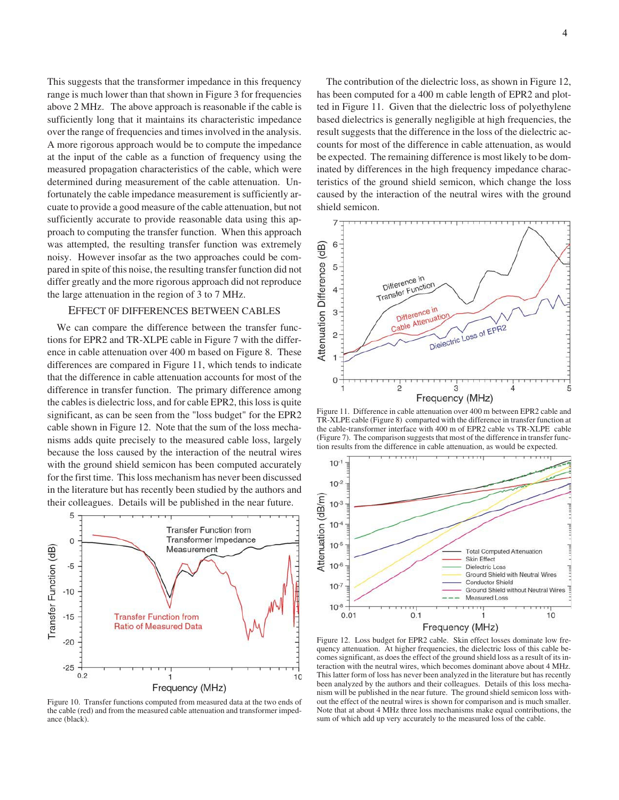This suggests that the transformer impedance in this frequency range is much lower than that shown in Figure 3 for frequencies above 2 MHz. The above approach is reasonable if the cable is sufficiently long that it maintains its characteristic impedance over the range of frequencies and times involved in the analysis. A more rigorous approach would be to compute the impedance at the input of the cable as a function of frequency using the measured propagation characteristics of the cable, which were determined during measurement of the cable attenuation. Unfortunately the cable impedance measurement is sufficiently arcuate to provide a good measure of the cable attenuation, but not sufficiently accurate to provide reasonable data using this approach to computing the transfer function. When this approach was attempted, the resulting transfer function was extremely noisy. However insofar as the two approaches could be compared in spite of this noise, the resulting transfer function did not differ greatly and the more rigorous approach did not reproduce the large attenuation in the region of 3 to 7 MHz.

### EFFECT 0F DIFFERENCES BETWEEN CABLES

We can compare the difference between the transfer functions for EPR2 and TR-XLPE cable in Figure 7 with the difference in cable attenuation over 400 m based on Figure 8. These differences are compared in Figure 11, which tends to indicate that the difference in cable attenuation accounts for most of the difference in transfer function. The primary difference among the cables is dielectric loss, and for cable EPR2, this loss is quite significant, as can be seen from the "loss budget" for the EPR2 cable shown in Figure 12. Note that the sum of the loss mechanisms adds quite precisely to the measured cable loss, largely because the loss caused by the interaction of the neutral wires with the ground shield semicon has been computed accurately for the first time. This loss mechanism has never been discussed in the literature but has recently been studied by the authors and their colleagues. Details will be published in the near future.



Figure 10. Transfer functions computed from measured data at the two ends of the cable (red) and from the measured cable attenuation and transformer impedance (black).

The contribution of the dielectric loss, as shown in Figure 12, has been computed for a 400 m cable length of EPR2 and plotted in Figure 11. Given that the dielectric loss of polyethylene based dielectrics is generally negligible at high frequencies, the result suggests that the difference in the loss of the dielectric accounts for most of the difference in cable attenuation, as would be expected. The remaining difference is most likely to be dominated by differences in the high frequency impedance characteristics of the ground shield semicon, which change the loss caused by the interaction of the neutral wires with the ground shield semicon.



Figure 11. Difference in cable attenuation over 400 m between EPR2 cable and TR-XLPE cable (Figure 8) comparted with the difference in transfer function at the cable-transformer interface with 400 m of EPR2 cable vs TR-XLPE cable (Figure 7). The comparison suggests that most of the difference in transfer function results from the difference in cable attenuation, as would be expected.



Figure 12. Loss budget for EPR2 cable. Skin effect losses dominate low frequency attenuation. At higher frequencies, the dielectric loss of this cable becomes significant, as does the effect of the ground shield loss as a result of its interaction with the neutral wires, which becomes dominant above about 4 MHz. This latter form of loss has never been analyzed in the literature but has recently been analyzed by the authors and their colleagues. Details of this loss mechanism will be published in the near future. The ground shield semicon loss without the effect of the neutral wires is shown for comparison and is much smaller. Note that at about 4 MHz three loss mechanisms make equal contributions, the sum of which add up very accurately to the measured loss of the cable.